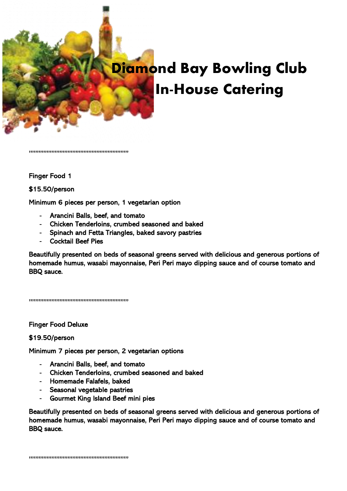

## D**iamond Bay Bowling Club In-House Catering**

,,,,,,,,,,,,,,,,,,,,,,,,,,,,,,,,,,,,,,,,,,,,,,,,,,,,,,,,,,,,,,

## Finger Food 1

## \$15.50/person

Minimum 6 pieces per person, 1 vegetarian option

- Arancini Balls, beef, and tomato
- Chicken Tenderloins, crumbed seasoned and baked
- Spinach and Fetta Triangles, baked savory pastries
- Cocktail Beef Pies

Beautifully presented on beds of seasonal greens served with delicious and generous portions of homemade humus, wasabi mayonnaise, Peri Peri mayo dipping sauce and of course tomato and BBQ sauce.

,,,,,,,,,,,,,,,,,,,,,,,,,,,,,,,,,,,,,,,,,,,,,,,,,,,,,,,,,,,,,,

Finger Food Deluxe

## \$19.50/person

Minimum 7 pieces per person, 2 vegetarian options

- Arancini Balls, beef, and tomato
- Chicken Tenderloins, crumbed seasoned and baked
- Homemade Falafels, baked
- Seasonal vegetable pastries
- Gourmet King Island Beef mini pies

Beautifully presented on beds of seasonal greens served with delicious and generous portions of homemade humus, wasabi mayonnaise, Peri Peri mayo dipping sauce and of course tomato and BBQ sauce.

,,,,,,,,,,,,,,,,,,,,,,,,,,,,,,,,,,,,,,,,,,,,,,,,,,,,,,,,,,,,,,